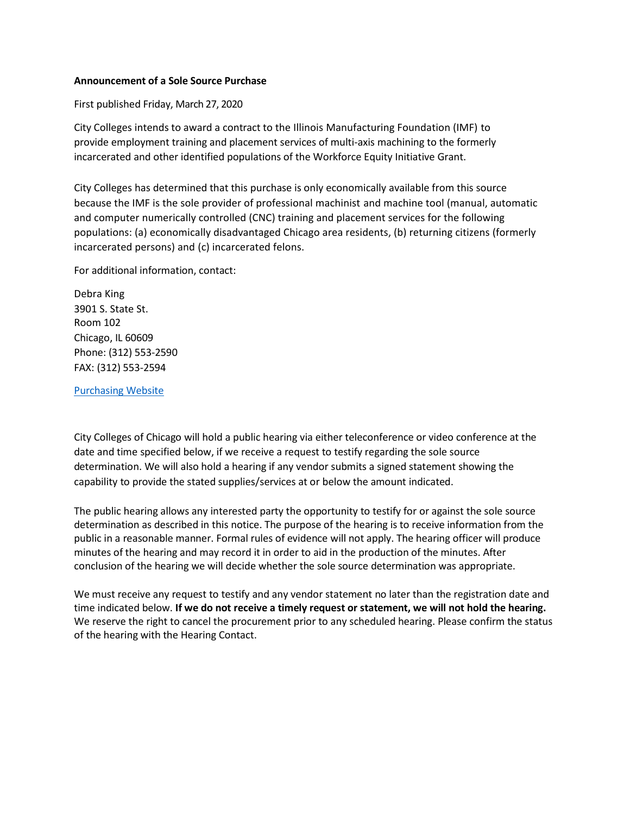## **Announcement of a Sole Source Purchase**

First published Friday, March 27, 2020

City Colleges intends to award a contract to the Illinois Manufacturing Foundation (IMF) to provide employment training and placement services of multi-axis machining to the formerly incarcerated and other identified populations of the Workforce Equity Initiative Grant.

City Colleges has determined that this purchase is only economically available from this source because the IMF is the sole provider of professional machinist and machine tool (manual, automatic and computer numerically controlled (CNC) training and placement services for the following populations: (a) economically disadvantaged Chicago area residents, (b) returning citizens (formerly incarcerated persons) and (c) incarcerated felons.

For additional information, contact:

Debra King 3901 S. State St. Room 102 Chicago, IL 60609 Phone: (312) 553-2590 FAX: (312) 553-2594

[Purchasing](http://www.ccc.edu/Procurement) Website

City Colleges of Chicago will hold a public hearing via either teleconference or video conference at the date and time specified below, if we receive a request to testify regarding the sole source determination. We will also hold a hearing if any vendor submits a signed statement showing the capability to provide the stated supplies/services at or below the amount indicated.

The public hearing allows any interested party the opportunity to testify for or against the sole source determination as described in this notice. The purpose of the hearing is to receive information from the public in a reasonable manner. Formal rules of evidence will not apply. The hearing officer will produce minutes of the hearing and may record it in order to aid in the production of the minutes. After conclusion of the hearing we will decide whether the sole source determination was appropriate.

We must receive any request to testify and any vendor statement no later than the registration date and time indicated below. **If we do not receive a timely request or statement, we will not hold the hearing.**  We reserve the right to cancel the procurement prior to any scheduled hearing. Please confirm the status of the hearing with the Hearing Contact.